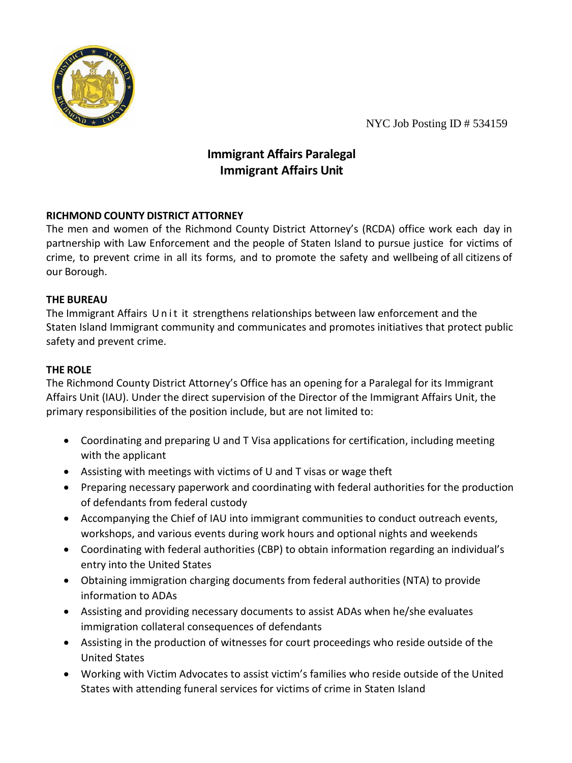

NYC Job Posting ID # 534159

# **Immigrant Affairs Paralegal Immigrant Affairs Unit**

# **RICHMOND COUNTY DISTRICT ATTORNEY**

The men and women of the Richmond County District Attorney's (RCDA) office work each day in partnership with Law Enforcement and the people of Staten Island to pursue justice for victims of crime, to prevent crime in all its forms, and to promote the safety and wellbeing of all citizens of our Borough.

## **THE BUREAU**

The Immigrant Affairs Unit it strengthens relationships between law enforcement and the Staten Island Immigrant community and communicates and promotes initiatives that protect public safety and prevent crime.

# **THE ROLE**

The Richmond County District Attorney's Office has an opening for a Paralegal for its Immigrant Affairs Unit (IAU). Under the direct supervision of the Director of the Immigrant Affairs Unit, the primary responsibilities of the position include, but are not limited to:

- Coordinating and preparing U and T Visa applications for certification, including meeting with the applicant
- Assisting with meetings with victims of U and T visas or wage theft
- Preparing necessary paperwork and coordinating with federal authorities for the production of defendants from federal custody
- Accompanying the Chief of IAU into immigrant communities to conduct outreach events, workshops, and various events during work hours and optional nights and weekends
- Coordinating with federal authorities (CBP) to obtain information regarding an individual's entry into the United States
- Obtaining immigration charging documents from federal authorities (NTA) to provide information to ADAs
- Assisting and providing necessary documents to assist ADAs when he/she evaluates immigration collateral consequences of defendants
- Assisting in the production of witnesses for court proceedings who reside outside of the United States
- Working with Victim Advocates to assist victim's families who reside outside of the United States with attending funeral services for victims of crime in Staten Island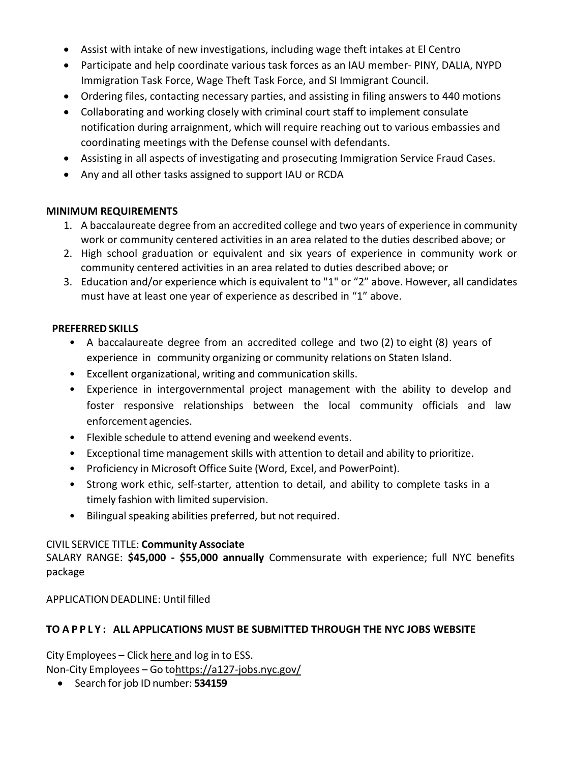- Assist with intake of new investigations, including wage theft intakes at El Centro
- Participate and help coordinate various task forces as an IAU member- PINY, DALIA, NYPD Immigration Task Force, Wage Theft Task Force, and SI Immigrant Council.
- Ordering files, contacting necessary parties, and assisting in filing answers to 440 motions
- Collaborating and working closely with criminal court staff to implement consulate notification during arraignment, which will require reaching out to various embassies and coordinating meetings with the Defense counsel with defendants.
- Assisting in all aspects of investigating and prosecuting Immigration Service Fraud Cases.
- Any and all other tasks assigned to support IAU or RCDA

#### **MINIMUM REQUIREMENTS**

- 1. A baccalaureate degree from an accredited college and two years of experience in community work or community centered activities in an area related to the duties described above; or
- 2. High school graduation or equivalent and six years of experience in community work or community centered activities in an area related to duties described above; or
- 3. Education and/or experience which is equivalent to "1" or "2" above. However, all candidates must have at least one year of experience as described in "1" above.

## **PREFERREDSKILLS**

- A baccalaureate degree from an accredited college and two (2) to eight (8) years of experience in community organizing or community relations on Staten Island.
- Excellent organizational, writing and communication skills.
- Experience in intergovernmental project management with the ability to develop and foster responsive relationships between the local community officials and law enforcement agencies.
- Flexible schedule to attend evening and weekend events.
- Exceptional time management skills with attention to detail and ability to prioritize.
- Proficiency in Microsoft Office Suite (Word, Excel, and PowerPoint).
- Strong work ethic, self-starter, attention to detail, and ability to complete tasks in a timely fashion with limited supervision.
- Bilingual speaking abilities preferred, but not required.

## CIVIL SERVICE TITLE: **Community Associate**

SALARY RANGE: **\$45,000 - \$55,000 annually** Commensurate with experience; full NYC benefits package

APPLICATION DEADLINE: Until filled

## **TO APPLY : ALL APPLICATIONS MUST BE SUBMITTED THROUGH THE NYC JOBS WEBSITE**

City Employees – Click [here a](https://hrb.nycaps.nycnet/psp/hcmprd/?cmd=login&languageCd=ENG)nd log in to ESS.

Non-City Employees – Go t[ohttps://a127-jobs.nyc.gov/](https://a127-jobs.nyc.gov/)

• Search for job ID number: **534159**